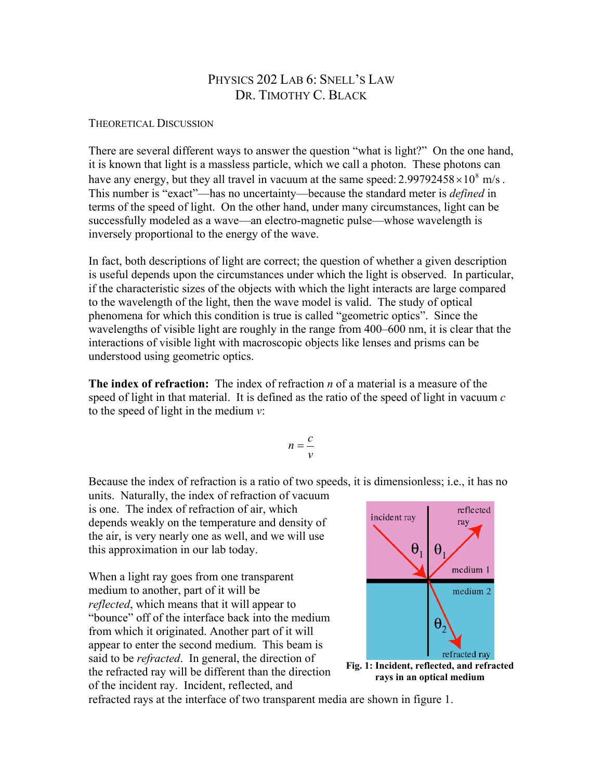## PHYSICS 202 LAB 6: SNELL'S LAW DR. TIMOTHY C. BLACK

## THEORETICAL DISCUSSION

There are several different ways to answer the question "what is light?" On the one hand, it is known that light is a massless particle, which we call a photon. These photons can have any energy, but they all travel in vacuum at the same speed:  $2.99792458 \times 10^8$  m/s. This number is "exact"—has no uncertainty—because the standard meter is *defined* in terms of the speed of light. On the other hand, under many circumstances, light can be successfully modeled as a wave—an electro-magnetic pulse—whose wavelength is inversely proportional to the energy of the wave.

In fact, both descriptions of light are correct; the question of whether a given description is useful depends upon the circumstances under which the light is observed. In particular, if the characteristic sizes of the objects with which the light interacts are large compared to the wavelength of the light, then the wave model is valid. The study of optical phenomena for which this condition is true is called "geometric optics". Since the wavelengths of visible light are roughly in the range from 400–600 nm, it is clear that the interactions of visible light with macroscopic objects like lenses and prisms can be understood using geometric optics.

**The index of refraction:** The index of refraction *n* of a material is a measure of the speed of light in that material. It is defined as the ratio of the speed of light in vacuum *c* to the speed of light in the medium *v*:

$$
n=\frac{c}{v}
$$

Because the index of refraction is a ratio of two speeds, it is dimensionless; i.e., it has no

units. Naturally, the index of refraction of vacuum is one. The index of refraction of air, which depends weakly on the temperature and density of the air, is very nearly one as well, and we will use this approximation in our lab today.

When a light ray goes from one transparent medium to another, part of it will be *reflected*, which means that it will appear to "bounce" off of the interface back into the medium from which it originated. Another part of it will appear to enter the second medium. This beam is said to be *refracted*. In general, the direction of the refracted ray will be different than the direction of the incident ray. Incident, reflected, and



**rays in an optical medium**

refracted rays at the interface of two transparent media are shown in figure 1.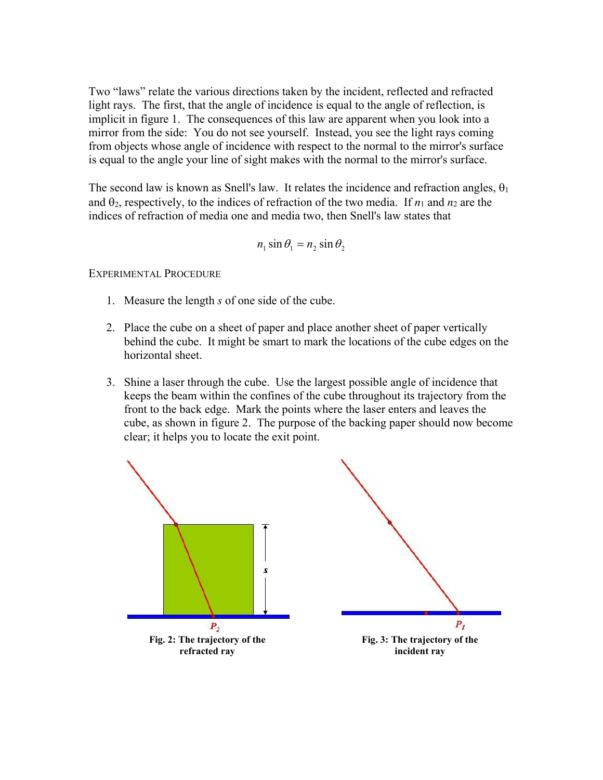Two "laws" relate the various directions taken by the incident, reflected and refracted light rays. The first, that the angle of incidence is equal to the angle of reflection, is implicit in figure 1. The consequences of this law are apparent when you look into a mirror from the side: You do not see yourself. Instead, you see the light rays coming from objects whose angle of incidence with respect to the normal to the mirror's surface is equal to the angle your line of sight makes with the normal to the mirror's surface.

The second law is known as Snell's law. It relates the incidence and refraction angles,  $\theta_1$ and  $\theta_2$ , respectively, to the indices of refraction of the two media. If  $n_1$  and  $n_2$  are the indices of refraction of media one and media two, then Snell's law states that

$$
n_1 \sin \theta_1 = n_2 \sin \theta_2
$$

EXPERIMENTAL PROCEDURE

- 1. Measure the length *s* of one side of the cube.
- 2. Place the cube on a sheet of paper and place another sheet of paper vertically behind the cube. It might be smart to mark the locations of the cube edges on the horizontal sheet.
- 3. Shine a laser through the cube. Use the largest possible angle of incidence that keeps the beam within the confines of the cube throughout its trajectory from the front to the back edge. Mark the points where the laser enters and leaves the cube, as shown in figure 2. The purpose of the backing paper should now become clear; it helps you to locate the exit point.